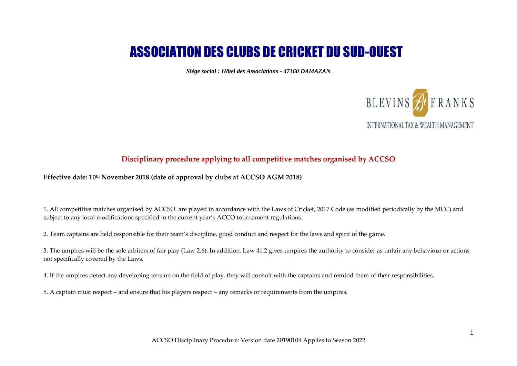# ASSOCIATION DES CLUBS DE CRICKET DU SUD-OUEST

*Siège social : Hôtel des Associations - 47160 DAMAZAN*



## **Disciplinary procedure applying to all competitive matches organised by ACCSO**

#### **Effective date: 10th November 2018 (date of approval by clubs at ACCSO AGM 2018)**

1. All competitive matches organised by ACCSO. are played in accordance with the Laws of Cricket, 2017 Code (as modified periodically by the MCC) and subject to any local modifications specified in the current year's ACCO tournament regulations.

2. Team captains are held responsible for their team's discipline, good conduct and respect for the laws and spirit of the game.

3. The umpires will be the sole arbiters of fair play (Law 2.6). In addition, Law 41.2 gives umpires the authority to consider as unfair any behaviour or actions not specifically covered by the Laws.

4. If the umpires detect any developing tension on the field of play, they will consult with the captains and remind them of their responsibilities.

5. A captain must respect – and ensure that his players respect – any remarks or requirements from the umpires.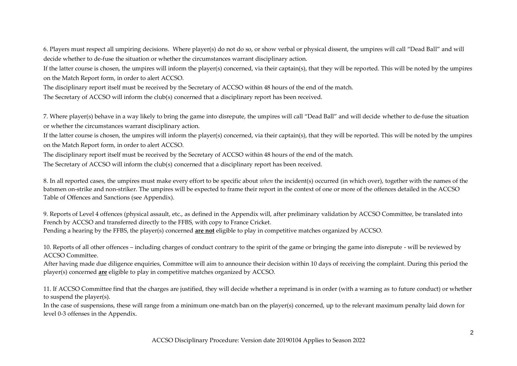6. Players must respect all umpiring decisions. Where player(s) do not do so, or show verbal or physical dissent, the umpires will call "Dead Ball" and will decide whether to de-fuse the situation or whether the circumstances warrant disciplinary action.

If the latter course is chosen, the umpires will inform the player(s) concerned, via their captain(s), that they will be reported. This will be noted by the umpires on the Match Report form, in order to alert ACCSO.

The disciplinary report itself must be received by the Secretary of ACCSO within 48 hours of the end of the match.

The Secretary of ACCSO will inform the club(s) concerned that a disciplinary report has been received.

7. Where player(s) behave in a way likely to bring the game into disrepute, the umpires will call "Dead Ball" and will decide whether to de-fuse the situation or whether the circumstances warrant disciplinary action.

If the latter course is chosen, the umpires will inform the player(s) concerned, via their captain(s), that they will be reported. This will be noted by the umpires on the Match Report form, in order to alert ACCSO.

The disciplinary report itself must be received by the Secretary of ACCSO within 48 hours of the end of the match.

The Secretary of ACCSO will inform the club(s) concerned that a disciplinary report has been received.

8. In all reported cases, the umpires must make every effort to be specific about *when* the incident(s) occurred (in which over), together with the names of the batsmen on-strike and non-striker. The umpires will be expected to frame their report in the context of one or more of the offences detailed in the ACCSO Table of Offences and Sanctions (see Appendix).

9. Reports of Level 4 offences (physical assault, etc., as defined in the Appendix will, after preliminary validation by ACCSO Committee, be translated into French by ACCSO and transferred directly to the FFBS, with copy to France Cricket. Pending a hearing by the FFBS, the player(s) concerned **are not** eligible to play in competitive matches organized by ACCSO.

10. Reports of all other offences – including charges of conduct contrary to the spirit of the game or bringing the game into disrepute - will be reviewed by ACCSO Committee.

After having made due diligence enquiries, Committee will aim to announce their decision within 10 days of receiving the complaint. During this period the player(s) concerned **are** eligible to play in competitive matches organized by ACCSO.

11. If ACCSO Committee find that the charges are justified, they will decide whether a reprimand is in order (with a warning as to future conduct) or whether to suspend the player(s).

In the case of suspensions, these will range from a minimum one-match ban on the player(s) concerned, up to the relevant maximum penalty laid down for level 0-3 offenses in the Appendix.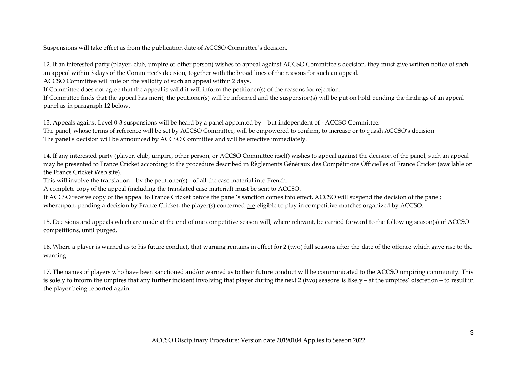Suspensions will take effect as from the publication date of ACCSO Committee's decision.

12. If an interested party (player, club, umpire or other person) wishes to appeal against ACCSO Committee's decision, they must give written notice of such an appeal within 3 days of the Committee's decision, together with the broad lines of the reasons for such an appeal.

ACCSO Committee will rule on the validity of such an appeal within 2 days.

If Committee does not agree that the appeal is valid it will inform the petitioner(s) of the reasons for rejection.

If Committee finds that the appeal has merit, the petitioner(s) will be informed and the suspension(s) will be put on hold pending the findings of an appeal panel as in paragraph 12 below.

13. Appeals against Level 0-3 suspensions will be heard by a panel appointed by – but independent of - ACCSO Committee. The panel, whose terms of reference will be set by ACCSO Committee, will be empowered to confirm, to increase or to quash ACCSO's decision. The panel's decision will be announced by ACCSO Committee and will be effective immediately.

14. If any interested party (player, club, umpire, other person, or ACCSO Committee itself) wishes to appeal against the decision of the panel, such an appeal may be presented to France Cricket according to the procedure described in Règlements Généraux des Compétitions Officielles of France Cricket (available on the France Cricket Web site).

This will involve the translation – by the petitioner(s) - of all the case material into French.

A complete copy of the appeal (including the translated case material) must be sent to ACCSO.

If ACCSO receive copy of the appeal to France Cricket before the panel's sanction comes into effect, ACCSO will suspend the decision of the panel; whereupon, pending a decision by France Cricket, the player(s) concerned are eligible to play in competitive matches organized by ACCSO.

15. Decisions and appeals which are made at the end of one competitive season will, where relevant, be carried forward to the following season(s) of ACCSO competitions, until purged.

16. Where a player is warned as to his future conduct, that warning remains in effect for 2 (two) full seasons after the date of the offence which gave rise to the warning.

17. The names of players who have been sanctioned and/or warned as to their future conduct will be communicated to the ACCSO umpiring community. This is solely to inform the umpires that any further incident involving that player during the next 2 (two) seasons is likely – at the umpires' discretion – to result in the player being reported again.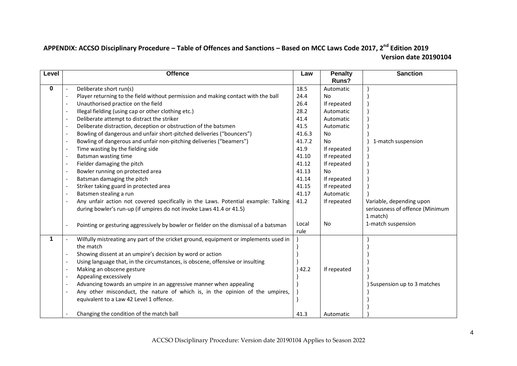# **APPENDIX: ACCSO Disciplinary Procedure – Table of Offences and Sanctions – Based on MCC Laws Code 2017, 2nd Edition 2019 Version date 20190104**

| Level | <b>Offence</b>                                                                        | Law    | <b>Penalty</b> | <b>Sanction</b>                 |
|-------|---------------------------------------------------------------------------------------|--------|----------------|---------------------------------|
|       |                                                                                       |        | Runs?          |                                 |
| 0     | Deliberate short run(s)                                                               | 18.5   | Automatic      |                                 |
|       | Player returning to the field without permission and making contact with the ball     | 24.4   | No.            |                                 |
|       | Unauthorised practice on the field                                                    | 26.4   | If repeated    |                                 |
|       | Illegal fielding (using cap or other clothing etc.)                                   | 28.2   | Automatic      |                                 |
|       | Deliberate attempt to distract the striker                                            | 41.4   | Automatic      |                                 |
|       | Deliberate distraction, deception or obstruction of the batsmen                       | 41.5   | Automatic      |                                 |
|       | Bowling of dangerous and unfair short-pitched deliveries ("bouncers")                 | 41.6.3 | No.            |                                 |
|       | Bowling of dangerous and unfair non-pitching deliveries ("beamers")                   | 41.7.2 | <b>No</b>      | 1-match suspension              |
|       | Time wasting by the fielding side                                                     | 41.9   | If repeated    |                                 |
|       | Batsman wasting time                                                                  | 41.10  | If repeated    |                                 |
|       | Fielder damaging the pitch                                                            | 41.12  | If repeated    |                                 |
|       | Bowler running on protected area                                                      | 41.13  | <b>No</b>      |                                 |
|       | Batsman damaging the pitch                                                            | 41.14  | If repeated    |                                 |
|       | Striker taking guard in protected area                                                | 41.15  | If repeated    |                                 |
|       | Batsmen stealing a run                                                                | 41.17  | Automatic      |                                 |
|       | Any unfair action not covered specifically in the Laws. Potential example: Talking    | 41.2   | If repeated    | Variable, depending upon        |
|       | during bowler's run-up (if umpires do not invoke Laws 41.4 or 41.5)                   |        |                | seriousness of offence (Minimum |
|       |                                                                                       |        |                | 1 match)                        |
|       | Pointing or gesturing aggressively by bowler or fielder on the dismissal of a batsman | Local  | <b>No</b>      | 1-match suspension              |
|       |                                                                                       | rule   |                |                                 |
| 1     | Wilfully mistreating any part of the cricket ground, equipment or implements used in  |        |                |                                 |
|       | the match                                                                             |        |                |                                 |
|       | Showing dissent at an umpire's decision by word or action                             |        |                |                                 |
|       | Using language that, in the circumstances, is obscene, offensive or insulting         |        |                |                                 |
|       | Making an obscene gesture                                                             | 42.2   | If repeated    |                                 |
|       | Appealing excessively                                                                 |        |                |                                 |
|       | Advancing towards an umpire in an aggressive manner when appealing                    |        |                | ) Suspension up to 3 matches    |
|       | Any other misconduct, the nature of which is, in the opinion of the umpires,          |        |                |                                 |
|       | equivalent to a Law 42 Level 1 offence.                                               |        |                |                                 |
|       |                                                                                       |        |                |                                 |
|       | Changing the condition of the match ball                                              | 41.3   | Automatic      |                                 |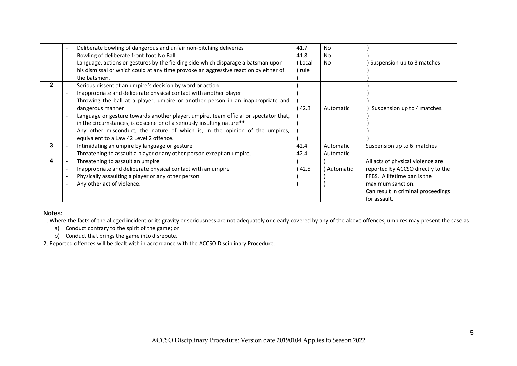|   | Deliberate bowling of dangerous and unfair non-pitching deliveries<br>Bowling of deliberate front-foot No Ball<br>Language, actions or gestures by the fielding side which disparage a batsman upon<br>his dismissal or which could at any time provoke an aggressive reaction by either of                                                                                                                                                                                                                                                       | 41.7<br>41.8<br>Local<br>rule) | <b>No</b><br><b>No</b><br>N <sub>o</sub> | Suspension up to 3 matches                                                                                                                                                       |
|---|---------------------------------------------------------------------------------------------------------------------------------------------------------------------------------------------------------------------------------------------------------------------------------------------------------------------------------------------------------------------------------------------------------------------------------------------------------------------------------------------------------------------------------------------------|--------------------------------|------------------------------------------|----------------------------------------------------------------------------------------------------------------------------------------------------------------------------------|
| 2 | the batsmen.<br>Serious dissent at an umpire's decision by word or action<br>Inappropriate and deliberate physical contact with another player<br>Throwing the ball at a player, umpire or another person in an inappropriate and<br>dangerous manner<br>Language or gesture towards another player, umpire, team official or spectator that,<br>in the circumstances, is obscene or of a seriously insulting nature**<br>Any other misconduct, the nature of which is, in the opinion of the umpires,<br>equivalent to a Law 42 Level 2 offence. | 42.3                           | Automatic                                | Suspension up to 4 matches                                                                                                                                                       |
| 3 | Intimidating an umpire by language or gesture<br>Threatening to assault a player or any other person except an umpire.                                                                                                                                                                                                                                                                                                                                                                                                                            | 42.4<br>42.4                   | Automatic<br>Automatic                   | Suspension up to 6 matches                                                                                                                                                       |
| 4 | Threatening to assault an umpire<br>Inappropriate and deliberate physical contact with an umpire<br>Physically assaulting a player or any other person<br>Any other act of violence.                                                                                                                                                                                                                                                                                                                                                              | 42.5                           | ) Automatic                              | All acts of physical violence are<br>reported by ACCSO directly to the<br>FFBS. A lifetime ban is the<br>maximum sanction.<br>Can result in criminal proceedings<br>for assault. |

#### **Notes:**

1. Where the facts of the alleged incident or its gravity or seriousness are not adequately or clearly covered by any of the above offences, umpires may present the case as:

- a) Conduct contrary to the spirit of the game; or
- b) Conduct that brings the game into disrepute.

2. Reported offences will be dealt with in accordance with the ACCSO Disciplinary Procedure.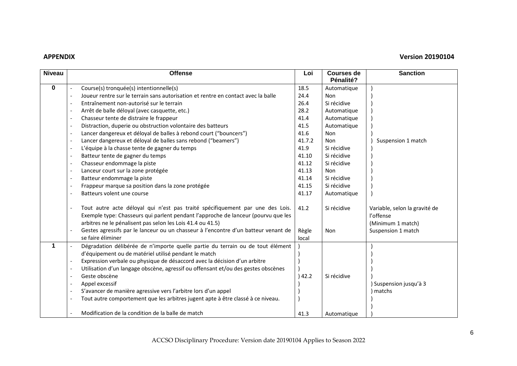### **APPENDIX Version 20190104**

| <b>Niveau</b> |                          | <b>Offense</b>                                                                                                                                                                                                                                                                                                         | Loi           | <b>Courses de</b>  | <b>Sanction</b>                                                                       |
|---------------|--------------------------|------------------------------------------------------------------------------------------------------------------------------------------------------------------------------------------------------------------------------------------------------------------------------------------------------------------------|---------------|--------------------|---------------------------------------------------------------------------------------|
|               |                          |                                                                                                                                                                                                                                                                                                                        |               | Pénalité?          |                                                                                       |
| 0             |                          | Course(s) tronquée(s) intentionnelle(s)                                                                                                                                                                                                                                                                                | 18.5          | Automatique        |                                                                                       |
|               | $\blacksquare$           | Joueur rentre sur le terrain sans autorisation et rentre en contact avec la balle                                                                                                                                                                                                                                      | 24.4          | Non                |                                                                                       |
|               |                          | Entraînement non-autorisé sur le terrain                                                                                                                                                                                                                                                                               | 26.4          | Si récidive        |                                                                                       |
|               |                          | Arrêt de balle déloyal (avec casquette, etc.)                                                                                                                                                                                                                                                                          | 28.2          | Automatique        |                                                                                       |
|               | $\blacksquare$           | Chasseur tente de distraire le frappeur                                                                                                                                                                                                                                                                                | 41.4          | Automatique        |                                                                                       |
|               | $\blacksquare$           | Distraction, duperie ou obstruction volontaire des batteurs                                                                                                                                                                                                                                                            | 41.5          | Automatique        |                                                                                       |
|               |                          | Lancer dangereux et déloyal de balles à rebond court ("bouncers")                                                                                                                                                                                                                                                      | 41.6          | <b>Non</b>         |                                                                                       |
|               |                          | Lancer dangereux et déloyal de balles sans rebond ("beamers")                                                                                                                                                                                                                                                          | 41.7.2        | Non                | Suspension 1 match                                                                    |
|               | $\overline{\phantom{a}}$ | L'équipe à la chasse tente de gagner du temps                                                                                                                                                                                                                                                                          | 41.9          | Si récidive        |                                                                                       |
|               | $\overline{a}$           | Batteur tente de gagner du temps                                                                                                                                                                                                                                                                                       | 41.10         | Si récidive        |                                                                                       |
|               | $\sim$                   | Chasseur endommage la piste                                                                                                                                                                                                                                                                                            | 41.12         | Si récidive        |                                                                                       |
|               | $\blacksquare$           | Lanceur court sur la zone protégée                                                                                                                                                                                                                                                                                     | 41.13         | Non                |                                                                                       |
|               | $\blacksquare$           | Batteur endommage la piste                                                                                                                                                                                                                                                                                             | 41.14         | Si récidive        |                                                                                       |
|               | $\overline{\phantom{a}}$ | Frappeur marque sa position dans la zone protégée                                                                                                                                                                                                                                                                      | 41.15         | Si récidive        |                                                                                       |
|               |                          | Batteurs volent une course                                                                                                                                                                                                                                                                                             | 41.17         | Automatique        |                                                                                       |
|               |                          | Tout autre acte déloyal qui n'est pas traité spécifiquement par une des Lois.<br>Exemple type: Chasseurs qui parlent pendant l'approche de lanceur (pourvu que les<br>arbitres ne le pénalisent pas selon les Lois 41.4 ou 41.5)<br>Gestes agressifs par le lanceur ou un chasseur à l'encontre d'un batteur venant de | 41.2<br>Règle | Si récidive<br>Non | Variable, selon la gravité de<br>l'offense<br>(Minimum 1 match)<br>Suspension 1 match |
|               |                          | se faire éliminer                                                                                                                                                                                                                                                                                                      | local         |                    |                                                                                       |
| 1             |                          | Dégradation délibérée de n'importe quelle partie du terrain ou de tout élément                                                                                                                                                                                                                                         |               |                    |                                                                                       |
|               |                          | d'équipement ou de matériel utilisé pendant le match                                                                                                                                                                                                                                                                   |               |                    |                                                                                       |
|               |                          | Expression verbale ou physique de désaccord avec la décision d'un arbitre                                                                                                                                                                                                                                              |               |                    |                                                                                       |
|               | $\blacksquare$           | Utilisation d'un langage obscène, agressif ou offensant et/ou des gestes obscènes                                                                                                                                                                                                                                      |               |                    |                                                                                       |
|               | $\overline{\phantom{a}}$ | Geste obscène                                                                                                                                                                                                                                                                                                          | 42.2          | Si récidive        |                                                                                       |
|               |                          | Appel excessif                                                                                                                                                                                                                                                                                                         |               |                    | ) Suspension jusqu'à 3                                                                |
|               |                          | S'avancer de manière agressive vers l'arbitre lors d'un appel                                                                                                                                                                                                                                                          |               |                    | ) matchs                                                                              |
|               |                          | Tout autre comportement que les arbitres jugent apte à être classé à ce niveau.                                                                                                                                                                                                                                        |               |                    |                                                                                       |
|               |                          | Modification de la condition de la balle de match                                                                                                                                                                                                                                                                      | 41.3          | Automatique        |                                                                                       |